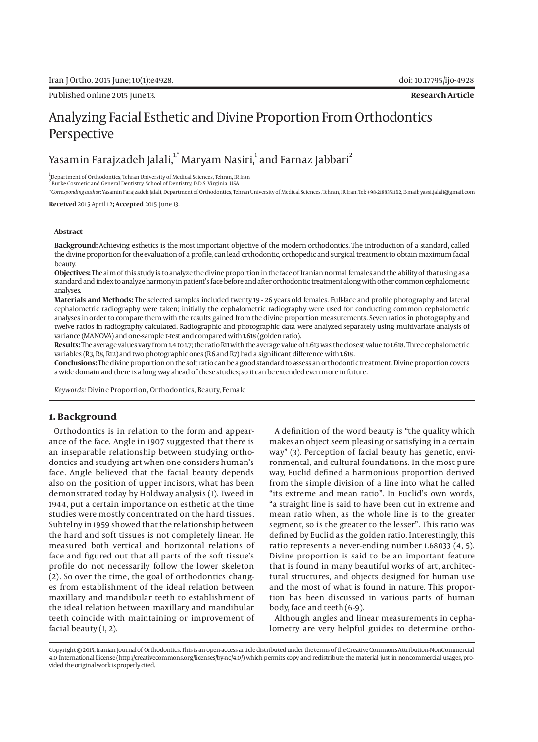Published online 2015 June 13. **Research Article**

# Analyzing Facial Esthetic and Divine Proportion From Orthodontics Perspective

Yasamin Farajzadeh Jalali, $^{\text{1, *}}$ Maryam Nasiri, $^{\text{1}}$  and Farnaz Jabbari $^{\text{2}}$ 

1 Department of Orthodontics, Tehran University of Medical Sciences, Tehran, IR Iran

2 Burke Cosmetic and General Dentistry, School of Dentistry, D.D.S, Virginia, USA

*\*Corresponding author*: Yasamin Farajzadeh Jalali, Department of Orthodontics, Tehran University of Medical Sciences, Tehran, IR Iran. Tel: +98-2188351162, E-mail: yassi.jalali@gmail.com

**Received** 2015 April 12**; Accepted** 2015 June 13.

#### **Abstract**

**Background:** Achieving esthetics is the most important objective of the modern orthodontics. The introduction of a standard, called the divine proportion for the evaluation of a profile, can lead orthodontic, orthopedic and surgical treatment to obtain maximum facial beauty.

**Objectives:** The aim of this study is to analyze the divine proportion in the face of Iranian normal females and the ability of that using as a standard and index to analyze harmony in patient's face before and after orthodontic treatment along with other common cephalometric analyses.

**Materials and Methods:** The selected samples included twenty 19 - 26 years old females. Full-face and profile photography and lateral cephalometric radiography were taken; initially the cephalometric radiography were used for conducting common cephalometric analyses in order to compare them with the results gained from the divine proportion measurements. Seven ratios in photography and twelve ratios in radiography calculated. Radiographic and photographic data were analyzed separately using multivariate analysis of variance (MANOVA) and one-sample t-test and compared with 1.618 (golden ratio).

**Results:** The average values vary from 1.4 to 1.7; the ratio R11 with the average value of 1.613 was the closest value to 1.618. Three cephalometric variables (R3, R8, R12) and two photographic ones (R6 and R7) had a significant difference with 1.618.

**Conclusions:** The divine proportion on the soft ratio can be a good standard to assess an orthodontic treatment. Divine proportion covers a wide domain and there is a long way ahead of these studies; so it can be extended even more in future.

*Keywords:* Divine Proportion, Orthodontics, Beauty, Female

## **1. Background**

Orthodontics is in relation to the form and appearance of the face. Angle in 1907 suggested that there is an inseparable relationship between studying orthodontics and studying art when one considers human's face. Angle believed that the facial beauty depends also on the position of upper incisors, what has been demonstrated today by Holdway analysis (1). Tweed in 1944, put a certain importance on esthetic at the time studies were mostly concentrated on the hard tissues. Subtelny in 1959 showed that the relationship between the hard and soft tissues is not completely linear. He measured both vertical and horizontal relations of face and figured out that all parts of the soft tissue's profile do not necessarily follow the lower skeleton (2). So over the time, the goal of orthodontics changes from establishment of the ideal relation between maxillary and mandibular teeth to establishment of the ideal relation between maxillary and mandibular teeth coincide with maintaining or improvement of facial beauty (1, 2).

A definition of the word beauty is "the quality which makes an object seem pleasing or satisfying in a certain way" (3). Perception of facial beauty has genetic, environmental, and cultural foundations. In the most pure way, Euclid defined a harmonious proportion derived from the simple division of a line into what he called "its extreme and mean ratio". In Euclid's own words, "a straight line is said to have been cut in extreme and mean ratio when, as the whole line is to the greater segment, so is the greater to the lesser". This ratio was defined by Euclid as the golden ratio. Interestingly, this ratio represents a never-ending number 1.68033 (4, 5). Divine proportion is said to be an important feature that is found in many beautiful works of art, architectural structures, and objects designed for human use and the most of what is found in nature. This proportion has been discussed in various parts of human body, face and teeth (6-9).

Although angles and linear measurements in cephalometry are very helpful guides to determine ortho-

Copyright © 2015, Iranian Journal of Orthodontics. This is an open-access article distributed under the terms of the Creative Commons Attribution-NonCommercial 4.0 International License (http://creativecommons.org/licenses/by-nc/4.0/) which permits copy and redistribute the material just in noncommercial usages, provided the original work is properly cited.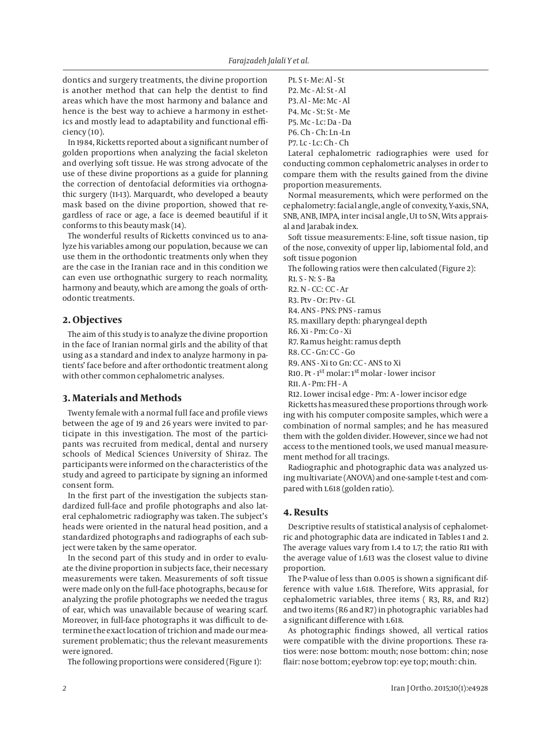dontics and surgery treatments, the divine proportion is another method that can help the dentist to find areas which have the most harmony and balance and hence is the best way to achieve a harmony in esthetics and mostly lead to adaptability and functional efficiency (10).

In 1984, Ricketts reported about a significant number of golden proportions when analyzing the facial skeleton and overlying soft tissue. He was strong advocate of the use of these divine proportions as a guide for planning the correction of dentofacial deformities via orthognathic surgery (11-13). Marquardt, who developed a beauty mask based on the divine proportion, showed that regardless of race or age, a face is deemed beautiful if it conforms to this beauty mask (14).

The wonderful results of Ricketts convinced us to analyze his variables among our population, because we can use them in the orthodontic treatments only when they are the case in the Iranian race and in this condition we can even use orthognathic surgery to reach normality, harmony and beauty, which are among the goals of orthodontic treatments.

#### **2. Objectives**

The aim of this study is to analyze the divine proportion in the face of Iranian normal girls and the ability of that using as a standard and index to analyze harmony in patients' face before and after orthodontic treatment along with other common cephalometric analyses.

## **3. Materials and Methods**

Twenty female with a normal full face and profile views between the age of 19 and 26 years were invited to participate in this investigation. The most of the participants was recruited from medical, dental and nursery schools of Medical Sciences University of Shiraz. The participants were informed on the characteristics of the study and agreed to participate by signing an informed consent form.

In the first part of the investigation the subjects standardized full-face and profile photographs and also lateral cephalometric radiography was taken. The subject's heads were oriented in the natural head position, and a standardized photographs and radiographs of each subject were taken by the same operator.

In the second part of this study and in order to evaluate the divine proportion in subjects face, their necessary measurements were taken. Measurements of soft tissue were made only on the full-face photographs, because for analyzing the profile photographs we needed the tragus of ear, which was unavailable because of wearing scarf. Moreover, in full-face photographs it was difficult to determine the exact location of trichion and made our measurement problematic; thus the relevant measurements were ignored.

The following proportions were considered (Figure 1):

P1. S t- Me: Al - St P2. Mc - Al: St - Al P3. Al - Me: Mc - Al P4. Mc - St: St - Me P5. Mc - Lc: Da - Da P6. Ch - Ch: Ln -Ln P7. Lc - Lc: Ch - Ch

Lateral cephalometric radiographies were used for conducting common cephalometric analyses in order to compare them with the results gained from the divine proportion measurements.

Normal measurements, which were performed on the cephalometry: facial angle, angle of convexity, Y-axis, SNA, SNB, ANB, IMPA, inter incisal angle, U1 to SN, Wits appraisal and Jarabak index.

Soft tissue measurements: E-line, soft tissue nasion, tip of the nose, convexity of upper lip, labiomental fold, and soft tissue pogonion

The following ratios were then calculated (Figure 2):

R1. S - N: S - Ba

R2. N - CC: CC - Ar

R3. Ptv - Or: Ptv - GL

- R4. ANS PNS: PNS ramus
- R5. maxillary depth: pharyngeal depth

R6. Xi - Pm: Co - Xi

R7. Ramus height: ramus depth

R8. CC - Gn: CC - Go

R9. ANS - Xi to Gn: CC - ANS to Xi

R10. Pt - 1st molar: 1st molar - lower incisor

R11. A - Pm: FH - A

R12. Lower incisal edge - Pm: A - lower incisor edge

Ricketts has measured these proportions through working with his computer composite samples, which were a combination of normal samples; and he has measured them with the golden divider. However, since we had not access to the mentioned tools, we used manual measurement method for all tracings.

Radiographic and photographic data was analyzed using multivariate (ANOVA) and one-sample t-test and compared with 1.618 (golden ratio).

## **4. Results**

Descriptive results of statistical analysis of cephalometric and photographic data are indicated in Tables 1 and 2. The average values vary from 1.4 to 1.7; the ratio R11 with the average value of 1.613 was the closest value to divine proportion.

The P-value of less than 0.005 is shown a significant difference with value 1.618. Therefore, Wits apprasial, for cephalometric variables, three items ( R3, R8, and R12) and two items (R6 and R7) in photographic variables had a significant difference with 1.618.

As photographic findings showed, all vertical ratios were compatible with the divine proportions. These ratios were: nose bottom: mouth; nose bottom: chin; nose flair: nose bottom; eyebrow top: eye top; mouth: chin.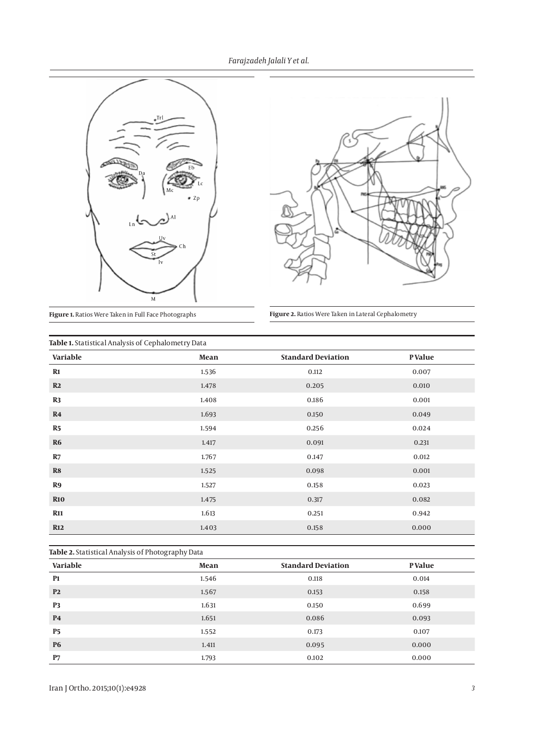*Farajzadeh Jalali Y et al.*





**Figure 1.** Ratios Were Taken in Full Face Photographs **Figure 2.** Ratios Were Taken in Lateral Cephalometry

| Table 1. Statistical Analysis of Cephalometry Data |       |                           |         |  |
|----------------------------------------------------|-------|---------------------------|---------|--|
| Variable                                           | Mean  | <b>Standard Deviation</b> | P Value |  |
| $R1$                                               | 1.536 | 0.112                     | 0.007   |  |
| R2                                                 | 1.478 | 0.205                     | 0.010   |  |
| R3                                                 | 1.408 | 0.186                     | 0.001   |  |
| R <sub>4</sub>                                     | 1.693 | 0.150                     | 0.049   |  |
| R <sub>5</sub>                                     | 1.594 | 0.256                     | 0.024   |  |
| <b>R6</b>                                          | 1.417 | 0.091                     | 0.231   |  |
| R7                                                 | 1.767 | 0.147                     | 0.012   |  |
| R8                                                 | 1.525 | 0.098                     | 0.001   |  |
| R9                                                 | 1.527 | 0.158                     | 0.023   |  |
| <b>R10</b>                                         | 1.475 | 0.317                     | 0.082   |  |
| <b>R11</b>                                         | 1.613 | 0.251                     | 0.942   |  |
| <b>R12</b>                                         | 1.403 | 0.158                     | 0.000   |  |

| Table 2. Statistical Analysis of Photography Data |       |                           |         |  |
|---------------------------------------------------|-------|---------------------------|---------|--|
| Variable                                          | Mean  | <b>Standard Deviation</b> | P Value |  |
| <b>P1</b>                                         | 1.546 | 0.118                     | 0.014   |  |
| P <sub>2</sub>                                    | 1.567 | 0.153                     | 0.158   |  |
| P <sub>3</sub>                                    | 1.631 | 0.150                     | 0.699   |  |
| <b>P4</b>                                         | 1.651 | 0.086                     | 0.093   |  |
| <b>P5</b>                                         | 1.552 | 0.173                     | 0.107   |  |
| <b>P6</b>                                         | 1.411 | 0.095                     | 0.000   |  |
| P7                                                | 1.793 | 0.102                     | 0.000   |  |